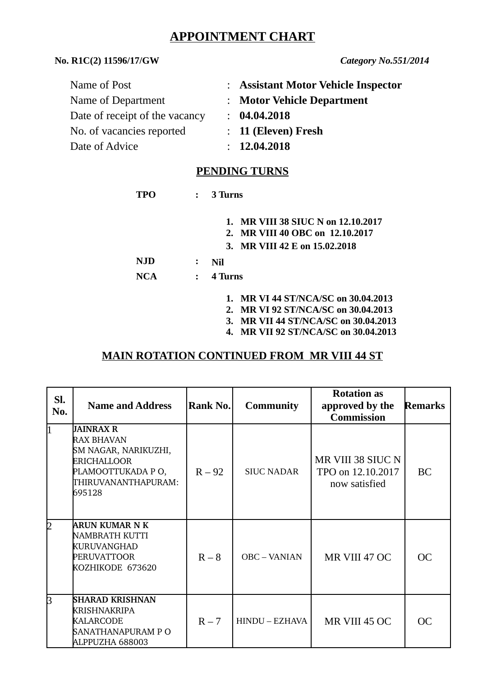# **APPOINTMENT CHART**

### **No. R1C(2) 11596/17/GW** *Category No.551/2014*

| : Assistant Motor Vehicle Inspector |
|-------------------------------------|
| : Motor Vehicle Department          |
| : 04.04.2018                        |
| $: 11$ (Eleven) Fresh               |
| : 12.04.2018                        |
|                                     |

#### **PENDING TURNS**

| TPO        | $\mathbf{L}$   | 3 Turns                                                                                                   |
|------------|----------------|-----------------------------------------------------------------------------------------------------------|
|            |                | 1. MR VIII 38 SIUC N on 12.10.2017<br>MR VIII 40 OBC on 12.10.2017<br>2.<br>3. MR VIII 42 E on 15.02.2018 |
| NJD        | ፡              | Nil                                                                                                       |
| <b>NCA</b> | $\ddot{\cdot}$ | 4 Turns                                                                                                   |

- **1. MR VI 44 ST/NCA/SC on 30.04.2013**
- **2. MR VI 92 ST/NCA/SC on 30.04.2013**
- **3. MR VII 44 ST/NCA/SC on 30.04.2013**
- **4. MR VII 92 ST/NCA/SC on 30.04.2013**

#### **MAIN ROTATION CONTINUED FROM MR VIII 44 ST**

| Sl.<br>No. | <b>Name and Address</b>                                                                                                     | Rank No. | <b>Community</b>    | <b>Rotation as</b><br>approved by the<br><b>Commission</b> | <b>Remarks</b> |
|------------|-----------------------------------------------------------------------------------------------------------------------------|----------|---------------------|------------------------------------------------------------|----------------|
| l1         | JAINRAX R<br><b>RAX BHAVAN</b><br>SM NAGAR, NARIKUZHI,<br>ERICHALLOOR<br>PLAMOOTTUKADA PO,<br>THIRUVANANTHAPURAM:<br>695128 | $R - 92$ | <b>SIUC NADAR</b>   | MR VIII 38 SIUC N<br>TPO on 12.10.2017<br>now satisfied    | BC             |
| 2          | ARUN KUMAR N K<br>NAMBRATH KUTTI<br><b>KURUVANGHAD</b><br><b>PERUVATTOOR</b><br>KOZHIKODE 673620                            | $R - 8$  | <b>OBC - VANIAN</b> | MR VIII 47 OC                                              | <b>OC</b>      |
| B          | <b>SHARAD KRISHNAN</b><br><b>KRISHNAKRIPA</b><br><b>KALARCODE</b><br>SANATHANAPURAM P O<br>ALPPUZHA 688003                  | $R - 7$  | HINDU – EZHAVA      | MR VIII 45 OC                                              | <b>OC</b>      |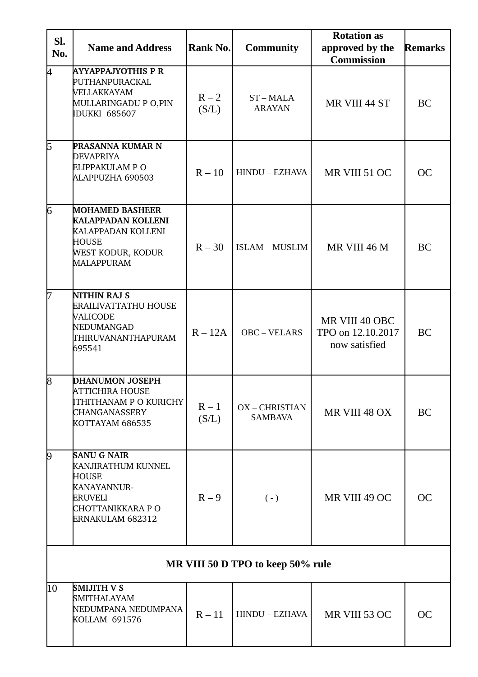| SI.<br>No.                        | <b>Name and Address</b>                                                                                               | Rank No.         | <b>Community</b>               | <b>Rotation as</b><br>approved by the<br><b>Remarks</b><br><b>Commission</b> |           |
|-----------------------------------|-----------------------------------------------------------------------------------------------------------------------|------------------|--------------------------------|------------------------------------------------------------------------------|-----------|
| 4                                 | <b>AYYAPPAJYOTHIS P R</b><br>PUTHANPURACKAL<br>VELLAKKAYAM<br>MULLARINGADU P O,PIN<br><b>IDUKKI 685607</b>            | $R - 2$<br>(S/L) | ST-MALA<br><b>ARAYAN</b>       | MR VIII 44 ST                                                                | BC        |
| 15                                | <b>PRASANNA KUMAR N</b><br><b>DEVAPRIYA</b><br>ELIPPAKULAM PO<br>ALAPPUZHA 690503                                     | $R - 10$         | HINDU - EZHAVA                 | MR VIII 51 OC                                                                | <b>OC</b> |
| 6                                 | <b>MOHAMED BASHEER</b><br><b>KALAPPADAN KOLLENI</b><br>KALAPPADAN KOLLENI<br>HOUSE<br>WEST KODUR, KODUR<br>MALAPPURAM | $R - 30$         | <b>ISLAM - MUSLIM</b>          | MR VIII 46 M                                                                 | BC        |
| l7                                | NITHIN RAJ S<br><b>ERAILIVATTATHU HOUSE</b><br>VALICODE<br>NEDUMANGAD<br>THIRUVANANTHAPURAM<br>695541                 | $R - 12A$        | OBC-VELARS                     | MR VIII 40 OBC<br>TPO on 12.10.2017<br>now satisfied                         | BC        |
| 8                                 | <b>DHANUMON JOSEPH</b><br>ATTICHIRA HOUSE<br>ITHITHANAM P O KURICHY<br><b>CHANGANASSERY</b><br>KOTTAYAM 686535        | $R-1$<br>(S/L)   | OX-CHRISTIAN<br><b>SAMBAVA</b> | MR VIII 48 OX                                                                | BC        |
| 9                                 | <b>SANU G NAIR</b><br>KANJIRATHUM KUNNEL<br>HOUSE<br>KANAYANNUR-<br>ERUVELI<br>CHOTTANIKKARA P O<br>ERNAKULAM 682312  | $R - 9$          | $(-)$                          | MR VIII 49 OC                                                                | <b>OC</b> |
| MR VIII 50 D TPO to keep 50% rule |                                                                                                                       |                  |                                |                                                                              |           |
| 10                                | <b>SMIJITH V S</b><br>SMITHALAYAM<br>NEDUMPANA NEDUMPANA<br><b>KOLLAM 691576</b>                                      | $R - 11$         | HINDU - EZHAVA                 | MR VIII 53 OC                                                                | <b>OC</b> |